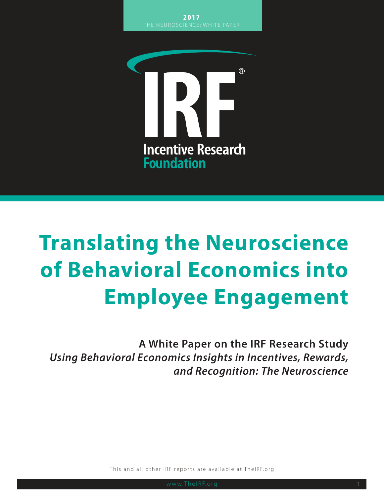

# **Translating the Neuroscience of Behavioral Economics into Employee Engagement**

**A White Paper on the IRF Research Study** *Using Behavioral Economics Insights in Incentives, Rewards, and Recognition: The Neuroscience*

This and all other IRF reports are available at TheIRF.org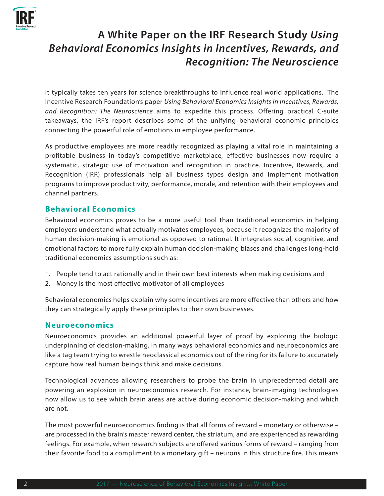

# **A White Paper on the IRF Research Study** *Using Behavioral Economics Insights in Incentives, Rewards, and Recognition: The Neuroscience*

It typically takes ten years for science breakthroughs to influence real world applications. The Incentive Research Foundation's paper *Using Behavioral Economics Insights in Incentives, Rewards, and Recognition: The Neuroscience* aims to expedite this process. Offering practical C-suite takeaways, the IRF's report describes some of the unifying behavioral economic principles connecting the powerful role of emotions in employee performance.

As productive employees are more readily recognized as playing a vital role in maintaining a profitable business in today's competitive marketplace, effective businesses now require a systematic, strategic use of motivation and recognition in practice. Incentive, Rewards, and Recognition (IRR) professionals help all business types design and implement motivation programs to improve productivity, performance, morale, and retention with their employees and channel partners.

#### **Behavioral Economics**

Behavioral economics proves to be a more useful tool than traditional economics in helping employers understand what actually motivates employees, because it recognizes the majority of human decision-making is emotional as opposed to rational. It integrates social, cognitive, and emotional factors to more fully explain human decision-making biases and challenges long-held traditional economics assumptions such as:

- 1. People tend to act rationally and in their own best interests when making decisions and
- 2. Money is the most effective motivator of all employees

Behavioral economics helps explain why some incentives are more effective than others and how they can strategically apply these principles to their own businesses.

#### **Neuroeconomics**

Neuroeconomics provides an additional powerful layer of proof by exploring the biologic underpinning of decision-making. In many ways behavioral economics and neuroeconomics are like a tag team trying to wrestle neoclassical economics out of the ring for its failure to accurately capture how real human beings think and make decisions.

Technological advances allowing researchers to probe the brain in unprecedented detail are powering an explosion in neuroeconomics research. For instance, brain-imaging technologies now allow us to see which brain areas are active during economic decision-making and which are not.

The most powerful neuroeconomics finding is that all forms of reward – monetary or otherwise – are processed in the brain's master reward center, the striatum, and are experienced as rewarding feelings. For example, when research subjects are offered various forms of reward – ranging from their favorite food to a compliment to a monetary gift – neurons in this structure fire. This means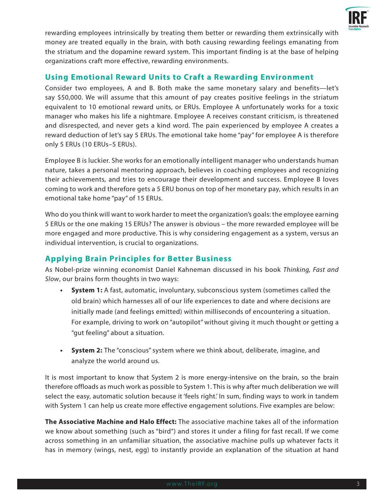

rewarding employees intrinsically by treating them better or rewarding them extrinsically with money are treated equally in the brain, with both causing rewarding feelings emanating from the striatum and the dopamine reward system. This important finding is at the base of helping organizations craft more effective, rewarding environments.

### **Using Emotional Reward Units to Craft a Rewarding Environment**

Consider two employees, A and B. Both make the same monetary salary and benefits—let's say \$50,000. We will assume that this amount of pay creates positive feelings in the striatum equivalent to 10 emotional reward units, or ERUs. Employee A unfortunately works for a toxic manager who makes his life a nightmare. Employee A receives constant criticism, is threatened and disrespected, and never gets a kind word. The pain experienced by employee A creates a reward deduction of let's say 5 ERUs. The emotional take home "pay" for employee A is therefore only 5 ERUs (10 ERUs–5 ERUs).

Employee B is luckier. She works for an emotionally intelligent manager who understands human nature, takes a personal mentoring approach, believes in coaching employees and recognizing their achievements, and tries to encourage their development and success. Employee B loves coming to work and therefore gets a 5 ERU bonus on top of her monetary pay, which results in an emotional take home "pay" of 15 ERUs.

Who do you think will want to work harder to meet the organization's goals: the employee earning 5 ERUs or the one making 15 ERUs? The answer is obvious – the more rewarded employee will be more engaged and more productive. This is why considering engagement as a system, versus an individual intervention, is crucial to organizations.

# **Applying Brain Principles for Better Business**

As Nobel-prize winning economist Daniel Kahneman discussed in his book *Thinking, Fast and Slow*, our brains form thoughts in two ways:

- **• System 1:** A fast, automatic, involuntary, subconscious system (sometimes called the old brain) which harnesses all of our life experiences to date and where decisions are initially made (and feelings emitted) within milliseconds of encountering a situation. For example, driving to work on "autopilot" without giving it much thought or getting a "gut feeling" about a situation.
- **• System 2:** The "conscious" system where we think about, deliberate, imagine, and analyze the world around us.

It is most important to know that System 2 is more energy-intensive on the brain, so the brain therefore offloads as much work as possible to System 1. This is why after much deliberation we will select the easy, automatic solution because it 'feels right.' In sum, finding ways to work in tandem with System 1 can help us create more effective engagement solutions. Five examples are below:

**The Associative Machine and Halo Effect:** The associative machine takes all of the information we know about something (such as "bird") and stores it under a filing for fast recall. If we come across something in an unfamiliar situation, the associative machine pulls up whatever facts it has in memory (wings, nest, egg) to instantly provide an explanation of the situation at hand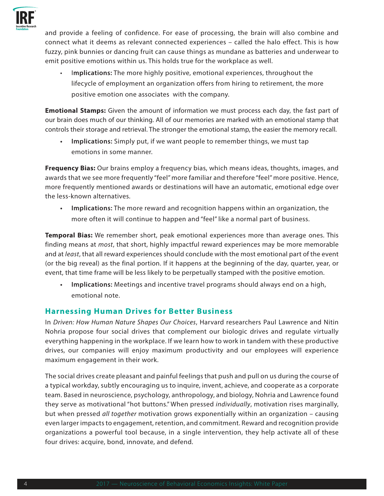

and provide a feeling of confidence. For ease of processing, the brain will also combine and connect what it deems as relevant connected experiences – called the halo effect. This is how fuzzy, pink bunnies or dancing fruit can cause things as mundane as batteries and underwear to emit positive emotions within us. This holds true for the workplace as well.

• I**mplications:** The more highly positive, emotional experiences, throughout the lifecycle of employment an organization offers from hiring to retirement, the more positive emotion one associates with the company.

**Emotional Stamps:** Given the amount of information we must process each day, the fast part of our brain does much of our thinking. All of our memories are marked with an emotional stamp that controls their storage and retrieval. The stronger the emotional stamp, the easier the memory recall.

**• Implications:** Simply put, if we want people to remember things, we must tap emotions in some manner.

**Frequency Bias:** Our brains employ a frequency bias, which means ideas, thoughts, images, and awards that we see more frequently "feel" more familiar and therefore "feel" more positive. Hence, more frequently mentioned awards or destinations will have an automatic, emotional edge over the less-known alternatives.

**• Implications:** The more reward and recognition happens within an organization, the more often it will continue to happen and "feel" like a normal part of business.

**Temporal Bias:** We remember short, peak emotional experiences more than average ones. This finding means at *most*, that short, highly impactful reward experiences may be more memorable and at *least*, that all reward experiences should conclude with the most emotional part of the event (or the big reveal) as the final portion. If it happens at the beginning of the day, quarter, year, or event, that time frame will be less likely to be perpetually stamped with the positive emotion.

**• Implications:** Meetings and incentive travel programs should always end on a high, emotional note.

# **Harnessing Human Drives for Better Business**

In *Driven: How Human Nature Shapes Our Choices*, Harvard researchers Paul Lawrence and Nitin Nohria propose four social drives that complement our biologic drives and regulate virtually everything happening in the workplace. If we learn how to work in tandem with these productive drives, our companies will enjoy maximum productivity and our employees will experience maximum engagement in their work.

The social drives create pleasant and painful feelings that push and pull on us during the course of a typical workday, subtly encouraging us to inquire, invent, achieve, and cooperate as a corporate team. Based in neuroscience, psychology, anthropology, and biology, Nohria and Lawrence found they serve as motivational "hot buttons." When pressed *individually*, motivation rises marginally, but when pressed *all together* motivation grows exponentially within an organization – causing even larger impacts to engagement, retention, and commitment. Reward and recognition provide organizations a powerful tool because, in a single intervention, they help activate all of these four drives: acquire, bond, innovate, and defend.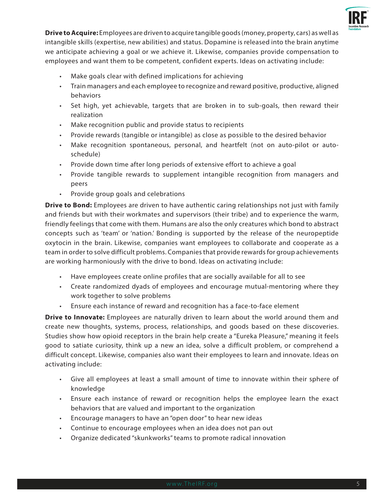

**Drive to Acquire:** Employees are driven to acquire tangible goods (money, property, cars) as well as intangible skills (expertise, new abilities) and status. Dopamine is released into the brain anytime we anticipate achieving a goal or we achieve it. Likewise, companies provide compensation to employees and want them to be competent, confident experts. Ideas on activating include:

- Make goals clear with defined implications for achieving
- Train managers and each employee to recognize and reward positive, productive, aligned behaviors
- Set high, yet achievable, targets that are broken in to sub-goals, then reward their realization
- Make recognition public and provide status to recipients
- Provide rewards (tangible or intangible) as close as possible to the desired behavior
- Make recognition spontaneous, personal, and heartfelt (not on auto-pilot or autoschedule)
- Provide down time after long periods of extensive effort to achieve a goal
- Provide tangible rewards to supplement intangible recognition from managers and peers
- Provide group goals and celebrations

**Drive to Bond:** Employees are driven to have authentic caring relationships not just with family and friends but with their workmates and supervisors (their tribe) and to experience the warm, friendly feelings that come with them. Humans are also the only creatures which bond to abstract concepts such as 'team' or 'nation.' Bonding is supported by the release of the neuropeptide oxytocin in the brain. Likewise, companies want employees to collaborate and cooperate as a team in order to solve difficult problems. Companies that provide rewards for group achievements are working harmoniously with the drive to bond. Ideas on activating include:

- Have employees create online profiles that are socially available for all to see
- Create randomized dyads of employees and encourage mutual-mentoring where they work together to solve problems
- Ensure each instance of reward and recognition has a face-to-face element

**Drive to Innovate:** Employees are naturally driven to learn about the world around them and create new thoughts, systems, process, relationships, and goods based on these discoveries. Studies show how opioid receptors in the brain help create a "Eureka Pleasure," meaning it feels good to satiate curiosity, think up a new an idea, solve a difficult problem, or comprehend a difficult concept. Likewise, companies also want their employees to learn and innovate. Ideas on activating include:

- Give all employees at least a small amount of time to innovate within their sphere of knowledge
- Ensure each instance of reward or recognition helps the employee learn the exact behaviors that are valued and important to the organization
- Encourage managers to have an "open door" to hear new ideas
- Continue to encourage employees when an idea does not pan out
- Organize dedicated "skunkworks" teams to promote radical innovation